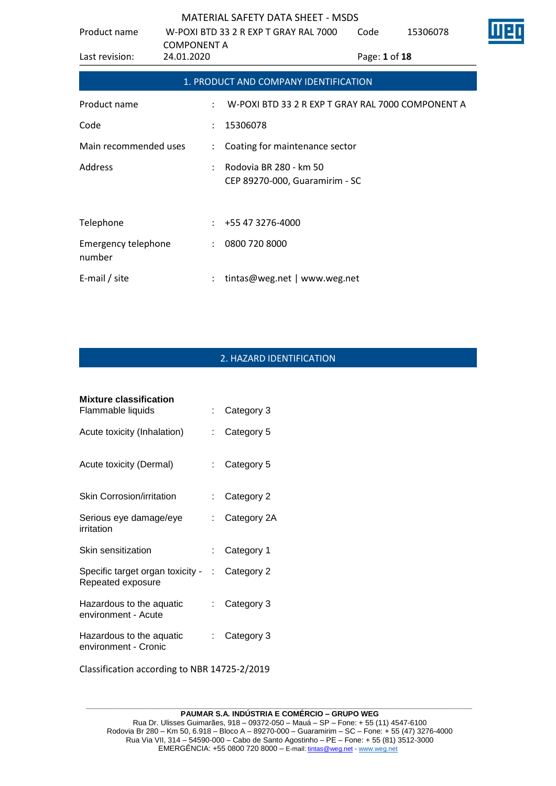| Product name                         |                      | W-POXI BTD 33 2 R EXP T GRAY RAL 7000                    | Code          | 15306078                                          |  |
|--------------------------------------|----------------------|----------------------------------------------------------|---------------|---------------------------------------------------|--|
|                                      | <b>COMPONENT A</b>   |                                                          |               |                                                   |  |
| Last revision:                       | 24.01.2020           |                                                          | Page: 1 of 18 |                                                   |  |
|                                      |                      | 1. PRODUCT AND COMPANY IDENTIFICATION                    |               |                                                   |  |
| Product name                         | ÷                    |                                                          |               | W-POXI BTD 33 2 R EXP T GRAY RAL 7000 COMPONENT A |  |
| Code                                 | $\ddot{\phantom{a}}$ | 15306078                                                 |               |                                                   |  |
| Main recommended uses                | ÷                    | Coating for maintenance sector                           |               |                                                   |  |
| Address                              |                      | Rodovia BR 280 - km 50<br>CEP 89270-000, Guaramirim - SC |               |                                                   |  |
| Telephone                            |                      | +55 47 3276-4000                                         |               |                                                   |  |
| <b>Emergency telephone</b><br>number | $\ddot{\phantom{a}}$ | 0800 720 8000                                            |               |                                                   |  |
| E-mail / site                        |                      | tintas@weg.net   www.weg.net                             |               |                                                   |  |

# 2. HAZARD IDENTIFICATION

| <b>Mixture classification</b>                           |                           |             |
|---------------------------------------------------------|---------------------------|-------------|
| Flammable liquids                                       |                           | Category 3  |
| Acute toxicity (Inhalation)                             | t.                        | Category 5  |
| Acute toxicity (Dermal)                                 | $\mathbb{R}^{\mathbb{Z}}$ | Category 5  |
| Skin Corrosion/irritation                               |                           | Category 2  |
| Serious eye damage/eye<br>irritation                    |                           | Category 2A |
| Skin sensitization                                      |                           | Category 1  |
| Specific target organ toxicity - :<br>Repeated exposure |                           | Category 2  |
| Hazardous to the aquatic<br>environment - Acute         |                           | Category 3  |
| Hazardous to the aquatic<br>environment - Cronic        |                           | Category 3  |
|                                                         |                           |             |

Classification according to NBR 14725-2/2019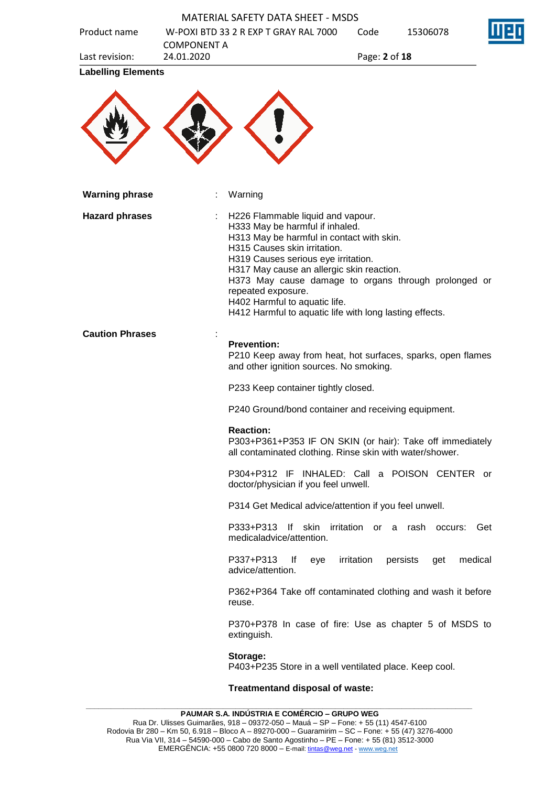| Product name              |                                  | <b>MATERIAL SAFETY DATA SHEET - MSDS</b><br>W-POXI BTD 33 2 R EXP T GRAY RAL 7000                                                                                                                                                                                                                                                                                                                               | Code          | 15306078                             |         |
|---------------------------|----------------------------------|-----------------------------------------------------------------------------------------------------------------------------------------------------------------------------------------------------------------------------------------------------------------------------------------------------------------------------------------------------------------------------------------------------------------|---------------|--------------------------------------|---------|
| Last revision:            | <b>COMPONENT A</b><br>24.01.2020 |                                                                                                                                                                                                                                                                                                                                                                                                                 | Page: 2 of 18 |                                      |         |
| <b>Labelling Elements</b> |                                  |                                                                                                                                                                                                                                                                                                                                                                                                                 |               |                                      |         |
|                           |                                  |                                                                                                                                                                                                                                                                                                                                                                                                                 |               |                                      |         |
| <b>Warning phrase</b>     |                                  | Warning                                                                                                                                                                                                                                                                                                                                                                                                         |               |                                      |         |
| <b>Hazard phrases</b>     |                                  | H226 Flammable liquid and vapour.<br>H333 May be harmful if inhaled.<br>H313 May be harmful in contact with skin.<br>H315 Causes skin irritation.<br>H319 Causes serious eye irritation.<br>H317 May cause an allergic skin reaction.<br>H373 May cause damage to organs through prolonged or<br>repeated exposure.<br>H402 Harmful to aquatic life.<br>H412 Harmful to aquatic life with long lasting effects. |               |                                      |         |
| <b>Caution Phrases</b>    |                                  | <b>Prevention:</b><br>P210 Keep away from heat, hot surfaces, sparks, open flames<br>and other ignition sources. No smoking.                                                                                                                                                                                                                                                                                    |               |                                      |         |
|                           |                                  | P233 Keep container tightly closed.                                                                                                                                                                                                                                                                                                                                                                             |               |                                      |         |
|                           |                                  | P240 Ground/bond container and receiving equipment.                                                                                                                                                                                                                                                                                                                                                             |               |                                      |         |
|                           |                                  | <b>Reaction:</b><br>P303+P361+P353 IF ON SKIN (or hair): Take off immediately<br>all contaminated clothing. Rinse skin with water/shower.                                                                                                                                                                                                                                                                       |               |                                      |         |
|                           |                                  | P304+P312 IF INHALED: Call a POISON CENTER or<br>doctor/physician if you feel unwell.                                                                                                                                                                                                                                                                                                                           |               |                                      |         |
|                           |                                  | P314 Get Medical advice/attention if you feel unwell.                                                                                                                                                                                                                                                                                                                                                           |               |                                      |         |
|                           |                                  | P333+P313<br>medicaladvice/attention.                                                                                                                                                                                                                                                                                                                                                                           |               | If skin irritation or a rash occurs: | Get     |
|                           |                                  | P337+P313<br>lf<br>eye<br>advice/attention.                                                                                                                                                                                                                                                                                                                                                                     | irritation    | persists<br>get                      | medical |
|                           |                                  | P362+P364 Take off contaminated clothing and wash it before<br>reuse.                                                                                                                                                                                                                                                                                                                                           |               |                                      |         |
|                           |                                  | P370+P378 In case of fire: Use as chapter 5 of MSDS to<br>extinguish.                                                                                                                                                                                                                                                                                                                                           |               |                                      |         |
|                           |                                  | Storage:<br>P403+P235 Store in a well ventilated place. Keep cool.                                                                                                                                                                                                                                                                                                                                              |               |                                      |         |
|                           |                                  | Treatmentand disposal of waste:                                                                                                                                                                                                                                                                                                                                                                                 |               |                                      |         |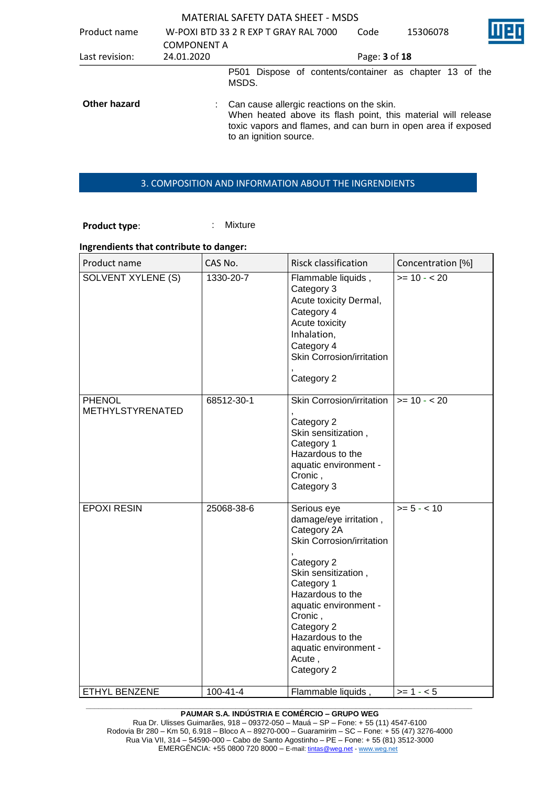| Product name        | <b>COMPONENT A</b> | W-POXI BTD 33 2 R EXP T GRAY RAL 7000                                                                                                                                                                   | Code          | 15306078 |  |
|---------------------|--------------------|---------------------------------------------------------------------------------------------------------------------------------------------------------------------------------------------------------|---------------|----------|--|
| Last revision:      | 24.01.2020         |                                                                                                                                                                                                         | Page: 3 of 18 |          |  |
|                     |                    | P501 Dispose of contents/container as chapter 13 of the<br>MSDS.                                                                                                                                        |               |          |  |
| <b>Other hazard</b> |                    | : Can cause allergic reactions on the skin.<br>When heated above its flash point, this material will release<br>toxic vapors and flames, and can burn in open area if exposed<br>to an ignition source. |               |          |  |

#### 3. COMPOSITION AND INFORMATION ABOUT THE INGRENDIENTS

Product type:  $\qquad \qquad$ : Mixture

### **Ingrendients that contribute to danger:**

| Product name                             | CAS No.        | <b>Risck classification</b>                                                                                                                                                                                                                                                     | Concentration [%] |
|------------------------------------------|----------------|---------------------------------------------------------------------------------------------------------------------------------------------------------------------------------------------------------------------------------------------------------------------------------|-------------------|
| SOLVENT XYLENE (S)                       | 1330-20-7      | Flammable liquids,<br>Category 3<br>Acute toxicity Dermal,<br>Category 4<br>Acute toxicity<br>Inhalation,<br>Category 4<br>Skin Corrosion/irritation<br>Category 2                                                                                                              | $>= 10 - 20$      |
| <b>PHENOL</b><br><b>METHYLSTYRENATED</b> | 68512-30-1     | Skin Corrosion/irritation<br>Category 2<br>Skin sensitization,<br>Category 1<br>Hazardous to the<br>aquatic environment -<br>Cronic,<br>Category 3                                                                                                                              | $>= 10 - 20$      |
| <b>EPOXI RESIN</b>                       | 25068-38-6     | Serious eye<br>damage/eye irritation,<br>Category 2A<br>Skin Corrosion/irritation<br>Category 2<br>Skin sensitization,<br>Category 1<br>Hazardous to the<br>aquatic environment -<br>Cronic,<br>Category 2<br>Hazardous to the<br>aquatic environment -<br>Acute,<br>Category 2 | $>= 5 - < 10$     |
| ETHYL BENZENE                            | $100 - 41 - 4$ | Flammable liquids,                                                                                                                                                                                                                                                              | $>= 1 - 5$        |

**\_\_\_\_\_\_\_\_\_\_\_\_\_\_\_\_\_\_\_\_\_\_\_\_\_\_\_\_\_\_\_\_\_\_\_\_\_\_\_\_\_\_\_\_\_\_\_\_\_\_\_\_\_\_\_\_\_\_\_\_\_\_\_\_\_\_\_\_\_\_\_\_\_\_\_\_\_\_\_\_\_\_\_\_\_\_\_\_\_\_\_\_\_ PAUMAR S.A. INDÚSTRIA E COMÉRCIO – GRUPO WEG**

Rua Dr. Ulisses Guimarães, 918 – 09372-050 – Mauá – SP – Fone: + 55 (11) 4547-6100 Rodovia Br 280 – Km 50, 6.918 – Bloco A – 89270-000 – Guaramirim – SC – Fone: + 55 (47) 3276-4000 Rua Via VII, 314 – 54590-000 – Cabo de Santo Agostinho – PE – Fone: + 55 (81) 3512-3000 EMERGËNCIA: +55 0800 720 8000 – E-mail[: tintas@weg.net](mailto:tintas@weg.net) - [www.weg.net](http://www.weg.net/)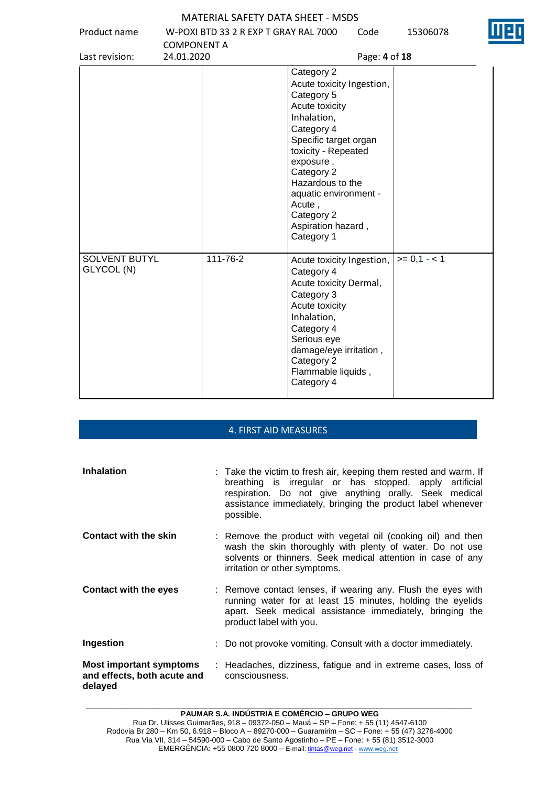MATERIAL SAFETY DATA SHEET - MSDS Product name W-POXI BTD 33 2 R EXP T GRAY RAL 7000 COMPONENT A<br>24.01.2020 Code 15306078 Last revision: 24.01.2020 Page: **4** of **18** Category 2 Acute toxicity Ingestion, Category 5 Acute toxicity Inhalation, Category 4 Specific target organ toxicity - Repeated exposure , Category 2 Hazardous to the aquatic environment - Acute , Category 2 Aspiration hazard , Category 1 SOLVENT BUTYL GLYCOL (N) 111-76-2 **Acute toxicity Ingestion**, Category 4  $>= 0.1 - 1$ 

Acute toxicity Dermal,

damage/eye irritation ,

Flammable liquids ,

Category 3 Acute toxicity Inhalation, Category 4 Serious eye

Category 2

Category 4

## **\_\_\_\_\_\_\_\_\_\_\_\_\_\_\_\_\_\_\_\_\_\_\_\_\_\_\_\_\_\_\_\_\_\_\_\_\_\_\_\_\_\_\_\_\_\_\_\_\_\_\_\_\_\_\_\_\_\_\_\_\_\_\_\_\_\_\_\_\_\_\_\_\_\_\_\_\_\_\_\_\_\_\_\_\_\_\_\_\_\_\_\_\_** 4. FIRST AID MEASURES **Inhalation** : Take the victim to fresh air, keeping them rested and warm. If breathing is irregular or has stopped, apply artificial respiration. Do not give anything orally. Seek medical assistance immediately, bringing the product label whenever possible. **Contact with the skin** : Remove the product with vegetal oil (cooking oil) and then wash the skin thoroughly with plenty of water. Do not use solvents or thinners. Seek medical attention in case of any irritation or other symptoms. **Contact with the eyes** : Remove contact lenses, if wearing any. Flush the eyes with running water for at least 15 minutes, holding the eyelids apart. Seek medical assistance immediately, bringing the product label with you. **Ingestion** : Do not provoke vomiting. Consult with a doctor immediately. **Most important symptoms and effects, both acute and delayed** : Headaches, dizziness, fatigue and in extreme cases, loss of consciousness.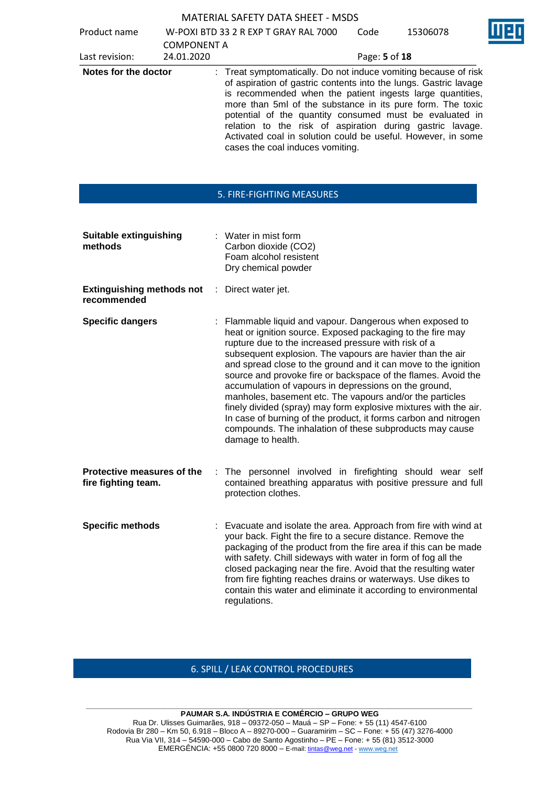| <b>MATERIAL SAFETY DATA SHEET - MSDS</b> |  |
|------------------------------------------|--|
|------------------------------------------|--|

Product name W-POXI BTD 33 2 R EXP T GRAY RAL 7000

| Product name         |                    | W-PUAI BID 33 Z K EAP I GRAY RAL 7000                                                                                                                                                                                                                                                                                                                                                                                                                                                      |               | 153UDU78 | n a s |
|----------------------|--------------------|--------------------------------------------------------------------------------------------------------------------------------------------------------------------------------------------------------------------------------------------------------------------------------------------------------------------------------------------------------------------------------------------------------------------------------------------------------------------------------------------|---------------|----------|-------|
|                      | <b>COMPONENT A</b> |                                                                                                                                                                                                                                                                                                                                                                                                                                                                                            |               |          |       |
| Last revision:       | 24.01.2020         |                                                                                                                                                                                                                                                                                                                                                                                                                                                                                            | Page: 5 of 18 |          |       |
| Notes for the doctor |                    | : Treat symptomatically. Do not induce vomiting because of risk<br>of aspiration of gastric contents into the lungs. Gastric lavage<br>is recommended when the patient ingests large quantities,<br>more than 5ml of the substance in its pure form. The toxic<br>potential of the quantity consumed must be evaluated in<br>relation to the risk of aspiration during gastric lavage.<br>Activated coal in solution could be useful. However, in some<br>cases the coal induces vomiting. |               |          |       |

Code 15306078

### 5. FIRE-FIGHTING MEASURES

| <b>Suitable extinguishing</b><br>methods          |    | : Water in mist form<br>Carbon dioxide (CO2)<br>Foam alcohol resistent<br>Dry chemical powder                                                                                                                                                                                                                                                                                                                                                                                                                                                                                                                                                                                                                               |
|---------------------------------------------------|----|-----------------------------------------------------------------------------------------------------------------------------------------------------------------------------------------------------------------------------------------------------------------------------------------------------------------------------------------------------------------------------------------------------------------------------------------------------------------------------------------------------------------------------------------------------------------------------------------------------------------------------------------------------------------------------------------------------------------------------|
| <b>Extinguishing methods not</b><br>recommended   | ÷. | Direct water jet.                                                                                                                                                                                                                                                                                                                                                                                                                                                                                                                                                                                                                                                                                                           |
| <b>Specific dangers</b>                           |    | : Flammable liquid and vapour. Dangerous when exposed to<br>heat or ignition source. Exposed packaging to the fire may<br>rupture due to the increased pressure with risk of a<br>subsequent explosion. The vapours are havier than the air<br>and spread close to the ground and it can move to the ignition<br>source and provoke fire or backspace of the flames. Avoid the<br>accumulation of vapours in depressions on the ground,<br>manholes, basement etc. The vapours and/or the particles<br>finely divided (spray) may form explosive mixtures with the air.<br>In case of burning of the product, it forms carbon and nitrogen<br>compounds. The inhalation of these subproducts may cause<br>damage to health. |
| Protective measures of the<br>fire fighting team. |    | The personnel involved in firefighting should wear self<br>contained breathing apparatus with positive pressure and full<br>protection clothes.                                                                                                                                                                                                                                                                                                                                                                                                                                                                                                                                                                             |
| <b>Specific methods</b>                           |    | : Evacuate and isolate the area. Approach from fire with wind at<br>your back. Fight the fire to a secure distance. Remove the<br>packaging of the product from the fire area if this can be made<br>with safety. Chill sideways with water in form of fog all the<br>closed packaging near the fire. Avoid that the resulting water<br>from fire fighting reaches drains or waterways. Use dikes to<br>contain this water and eliminate it according to environmental<br>regulations.                                                                                                                                                                                                                                      |

### 6. SPILL / LEAK CONTROL PROCEDURES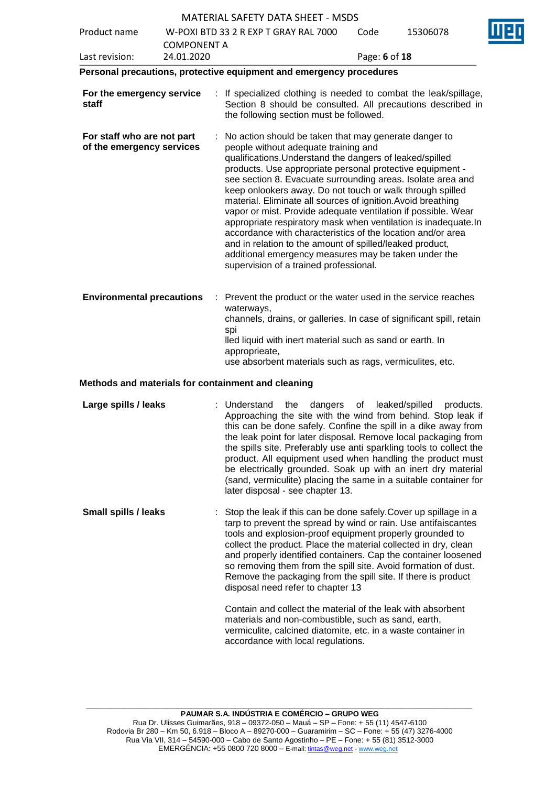|                                                         |                                  |     | MATERIAL SAFETY DATA SHEET - MSDS                                                                                                                                                                                                                                                                                                                                                                                                                                                                                                                                                                                                                                                                                                                                                    |               |                             |  |
|---------------------------------------------------------|----------------------------------|-----|--------------------------------------------------------------------------------------------------------------------------------------------------------------------------------------------------------------------------------------------------------------------------------------------------------------------------------------------------------------------------------------------------------------------------------------------------------------------------------------------------------------------------------------------------------------------------------------------------------------------------------------------------------------------------------------------------------------------------------------------------------------------------------------|---------------|-----------------------------|--|
| Product name                                            |                                  |     | W-POXI BTD 33 2 R EXP T GRAY RAL 7000                                                                                                                                                                                                                                                                                                                                                                                                                                                                                                                                                                                                                                                                                                                                                | Code          | 15306078                    |  |
| Last revision:                                          | <b>COMPONENT A</b><br>24.01.2020 |     |                                                                                                                                                                                                                                                                                                                                                                                                                                                                                                                                                                                                                                                                                                                                                                                      | Page: 6 of 18 |                             |  |
|                                                         |                                  |     | Personal precautions, protective equipment and emergency procedures                                                                                                                                                                                                                                                                                                                                                                                                                                                                                                                                                                                                                                                                                                                  |               |                             |  |
| For the emergency service<br>staff                      |                                  |     | : If specialized clothing is needed to combat the leak/spillage,<br>Section 8 should be consulted. All precautions described in<br>the following section must be followed.                                                                                                                                                                                                                                                                                                                                                                                                                                                                                                                                                                                                           |               |                             |  |
| For staff who are not part<br>of the emergency services |                                  |     | : No action should be taken that may generate danger to<br>people without adequate training and<br>qualifications. Understand the dangers of leaked/spilled<br>products. Use appropriate personal protective equipment -<br>see section 8. Evacuate surrounding areas. Isolate area and<br>keep onlookers away. Do not touch or walk through spilled<br>material. Eliminate all sources of ignition. Avoid breathing<br>vapor or mist. Provide adequate ventilation if possible. Wear<br>appropriate respiratory mask when ventilation is inadequate.In<br>accordance with characteristics of the location and/or area<br>and in relation to the amount of spilled/leaked product,<br>additional emergency measures may be taken under the<br>supervision of a trained professional. |               |                             |  |
| <b>Environmental precautions</b>                        |                                  | spi | Prevent the product or the water used in the service reaches<br>waterways,<br>channels, drains, or galleries. In case of significant spill, retain<br>lled liquid with inert material such as sand or earth. In<br>approprieate,<br>use absorbent materials such as rags, vermiculites, etc.                                                                                                                                                                                                                                                                                                                                                                                                                                                                                         |               |                             |  |
| Methods and materials for containment and cleaning      |                                  |     |                                                                                                                                                                                                                                                                                                                                                                                                                                                                                                                                                                                                                                                                                                                                                                                      |               |                             |  |
| Large spills / leaks                                    |                                  |     | : Understand<br>the<br>dangers<br>Approaching the site with the wind from behind. Stop leak if<br>this can be done safely. Confine the spill in a dike away from<br>the leak point for later disposal. Remove local packaging from<br>the spills site. Preferably use anti sparkling tools to collect the<br>product. All equipment used when handling the product must<br>be electrically grounded. Soak up with an inert dry material<br>(sand, vermiculite) placing the same in a suitable container for<br>later disposal - see chapter 13.                                                                                                                                                                                                                                      | οf            | leaked/spilled<br>products. |  |
| <b>Small spills / leaks</b>                             |                                  |     | Stop the leak if this can be done safely. Cover up spillage in a<br>tarp to prevent the spread by wind or rain. Use antifaiscantes<br>tools and explosion-proof equipment properly grounded to<br>collect the product. Place the material collected in dry, clean<br>and properly identified containers. Cap the container loosened<br>so removing them from the spill site. Avoid formation of dust.<br>Remove the packaging from the spill site. If there is product<br>disposal need refer to chapter 13                                                                                                                                                                                                                                                                          |               |                             |  |
|                                                         |                                  |     | Contain and collect the material of the leak with absorbent<br>materials and non-combustible, such as sand, earth,<br>vermiculite, calcined diatomite, etc. in a waste container in<br>accordance with local regulations.                                                                                                                                                                                                                                                                                                                                                                                                                                                                                                                                                            |               |                             |  |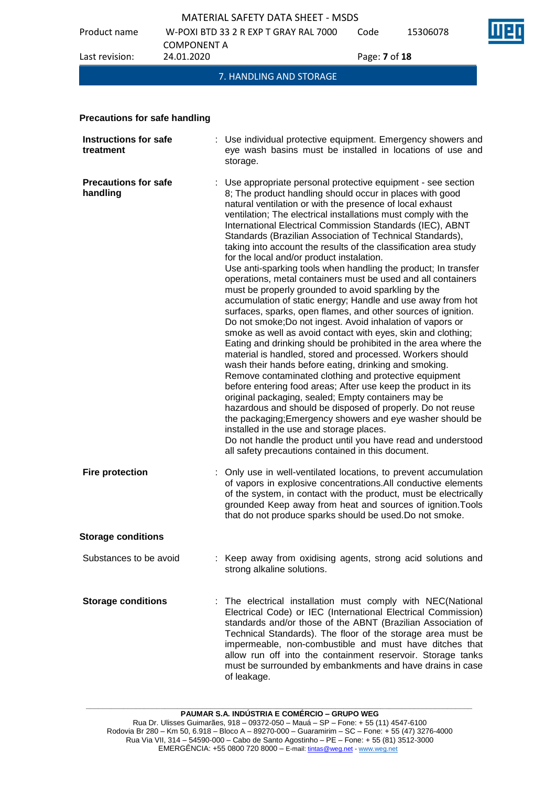

|                                           |                    | <b>MATERIAL SAFETY DATA SHEET - MSDS</b>                                                                                                                                                                                                                                                                                                                                                                                                                                                                                                                                                                                                                                                                                                                                                                                                                                                                                                                                                                                                                                                                                                                                                                                                                                                                                                                                                                                                                                                                                                                                                                                       |               |          |  |  |
|-------------------------------------------|--------------------|--------------------------------------------------------------------------------------------------------------------------------------------------------------------------------------------------------------------------------------------------------------------------------------------------------------------------------------------------------------------------------------------------------------------------------------------------------------------------------------------------------------------------------------------------------------------------------------------------------------------------------------------------------------------------------------------------------------------------------------------------------------------------------------------------------------------------------------------------------------------------------------------------------------------------------------------------------------------------------------------------------------------------------------------------------------------------------------------------------------------------------------------------------------------------------------------------------------------------------------------------------------------------------------------------------------------------------------------------------------------------------------------------------------------------------------------------------------------------------------------------------------------------------------------------------------------------------------------------------------------------------|---------------|----------|--|--|
| Product name                              | <b>COMPONENT A</b> | W-POXI BTD 33 2 R EXP T GRAY RAL 7000                                                                                                                                                                                                                                                                                                                                                                                                                                                                                                                                                                                                                                                                                                                                                                                                                                                                                                                                                                                                                                                                                                                                                                                                                                                                                                                                                                                                                                                                                                                                                                                          | Code          | 15306078 |  |  |
| Last revision:                            | 24.01.2020         |                                                                                                                                                                                                                                                                                                                                                                                                                                                                                                                                                                                                                                                                                                                                                                                                                                                                                                                                                                                                                                                                                                                                                                                                                                                                                                                                                                                                                                                                                                                                                                                                                                | Page: 7 of 18 |          |  |  |
|                                           |                    | 7. HANDLING AND STORAGE                                                                                                                                                                                                                                                                                                                                                                                                                                                                                                                                                                                                                                                                                                                                                                                                                                                                                                                                                                                                                                                                                                                                                                                                                                                                                                                                                                                                                                                                                                                                                                                                        |               |          |  |  |
|                                           |                    |                                                                                                                                                                                                                                                                                                                                                                                                                                                                                                                                                                                                                                                                                                                                                                                                                                                                                                                                                                                                                                                                                                                                                                                                                                                                                                                                                                                                                                                                                                                                                                                                                                |               |          |  |  |
| <b>Precautions for safe handling</b>      |                    |                                                                                                                                                                                                                                                                                                                                                                                                                                                                                                                                                                                                                                                                                                                                                                                                                                                                                                                                                                                                                                                                                                                                                                                                                                                                                                                                                                                                                                                                                                                                                                                                                                |               |          |  |  |
| <b>Instructions for safe</b><br>treatment |                    | Use individual protective equipment. Emergency showers and<br>eye wash basins must be installed in locations of use and<br>storage.                                                                                                                                                                                                                                                                                                                                                                                                                                                                                                                                                                                                                                                                                                                                                                                                                                                                                                                                                                                                                                                                                                                                                                                                                                                                                                                                                                                                                                                                                            |               |          |  |  |
| <b>Precautions for safe</b><br>handling   |                    | Use appropriate personal protective equipment - see section<br>8; The product handling should occur in places with good<br>natural ventilation or with the presence of local exhaust<br>ventilation; The electrical installations must comply with the<br>International Electrical Commission Standards (IEC), ABNT<br>Standards (Brazilian Association of Technical Standards),<br>taking into account the results of the classification area study<br>for the local and/or product instalation.<br>Use anti-sparking tools when handling the product; In transfer<br>operations, metal containers must be used and all containers<br>must be properly grounded to avoid sparkling by the<br>accumulation of static energy; Handle and use away from hot<br>surfaces, sparks, open flames, and other sources of ignition.<br>Do not smoke; Do not ingest. Avoid inhalation of vapors or<br>smoke as well as avoid contact with eyes, skin and clothing;<br>Eating and drinking should be prohibited in the area where the<br>material is handled, stored and processed. Workers should<br>wash their hands before eating, drinking and smoking.<br>Remove contaminated clothing and protective equipment<br>before entering food areas; After use keep the product in its<br>original packaging, sealed; Empty containers may be<br>hazardous and should be disposed of properly. Do not reuse<br>the packaging; Emergency showers and eye washer should be<br>installed in the use and storage places.<br>Do not handle the product until you have read and understood<br>all safety precautions contained in this document. |               |          |  |  |
| <b>Fire protection</b>                    |                    | : Only use in well-ventilated locations, to prevent accumulation<br>of vapors in explosive concentrations.All conductive elements<br>of the system, in contact with the product, must be electrically<br>grounded Keep away from heat and sources of ignition. Tools<br>that do not produce sparks should be used. Do not smoke.                                                                                                                                                                                                                                                                                                                                                                                                                                                                                                                                                                                                                                                                                                                                                                                                                                                                                                                                                                                                                                                                                                                                                                                                                                                                                               |               |          |  |  |
| <b>Storage conditions</b>                 |                    |                                                                                                                                                                                                                                                                                                                                                                                                                                                                                                                                                                                                                                                                                                                                                                                                                                                                                                                                                                                                                                                                                                                                                                                                                                                                                                                                                                                                                                                                                                                                                                                                                                |               |          |  |  |
| Substances to be avoid                    |                    | : Keep away from oxidising agents, strong acid solutions and<br>strong alkaline solutions.                                                                                                                                                                                                                                                                                                                                                                                                                                                                                                                                                                                                                                                                                                                                                                                                                                                                                                                                                                                                                                                                                                                                                                                                                                                                                                                                                                                                                                                                                                                                     |               |          |  |  |
| <b>Storage conditions</b>                 |                    | : The electrical installation must comply with NEC(National<br>Electrical Code) or IEC (International Electrical Commission)<br>standards and/or those of the ABNT (Brazilian Association of<br>Technical Standards). The floor of the storage area must be<br>impermeable, non-combustible and must have ditches that                                                                                                                                                                                                                                                                                                                                                                                                                                                                                                                                                                                                                                                                                                                                                                                                                                                                                                                                                                                                                                                                                                                                                                                                                                                                                                         |               |          |  |  |

of leakage.

allow run off into the containment reservoir. Storage tanks must be surrounded by embankments and have drains in case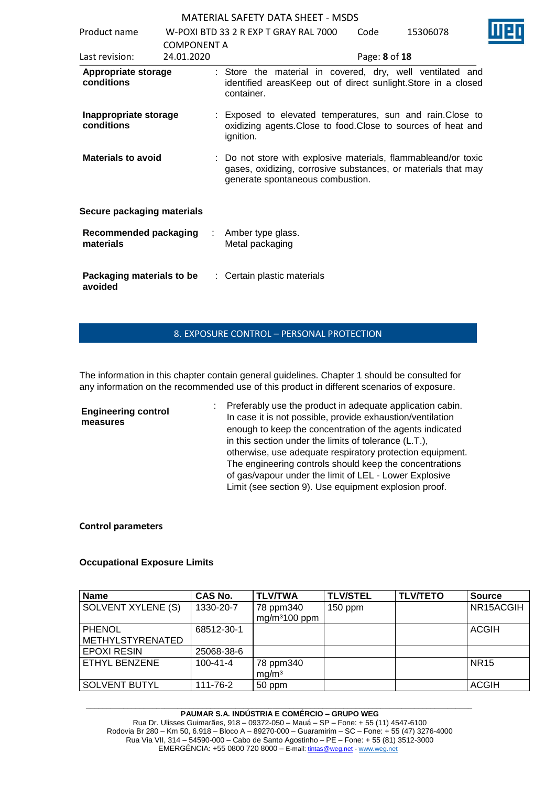| Product name                              |                                  | W-POXLBTD 33 2 R EXP T GRAY RAL 7000 | Code                                                                                                                                                                | 15306078      |  |  |
|-------------------------------------------|----------------------------------|--------------------------------------|---------------------------------------------------------------------------------------------------------------------------------------------------------------------|---------------|--|--|
| Last revision:                            | <b>COMPONENT A</b><br>24.01.2020 |                                      |                                                                                                                                                                     | Page: 8 of 18 |  |  |
| Appropriate storage<br>conditions         |                                  |                                      | : Store the material in covered, dry, well ventilated and<br>identified areasKeep out of direct sunlight. Store in a closed<br>container.                           |               |  |  |
| Inappropriate storage<br>conditions       |                                  |                                      | : Exposed to elevated temperatures, sun and rain. Close to<br>oxidizing agents. Close to food. Close to sources of heat and<br>ignition.                            |               |  |  |
| <b>Materials to avoid</b>                 |                                  |                                      | : Do not store with explosive materials, flammableand/or toxic<br>gases, oxidizing, corrosive substances, or materials that may<br>generate spontaneous combustion. |               |  |  |
| Secure packaging materials                |                                  |                                      |                                                                                                                                                                     |               |  |  |
| <b>Recommended packaging</b><br>materials |                                  |                                      | Amber type glass.<br>Metal packaging                                                                                                                                |               |  |  |
| Packaging materials to be<br>avoided      |                                  |                                      | : Certain plastic materials                                                                                                                                         |               |  |  |

### 8. EXPOSURE CONTROL – PERSONAL PROTECTION

The information in this chapter contain general guidelines. Chapter 1 should be consulted for any information on the recommended use of this product in different scenarios of exposure.

| <b>Engineering control</b><br>measures | Preferably use the product in adequate application cabin.<br>In case it is not possible, provide exhaustion/ventilation<br>enough to keep the concentration of the agents indicated |
|----------------------------------------|-------------------------------------------------------------------------------------------------------------------------------------------------------------------------------------|
|                                        | in this section under the limits of tolerance (L.T.),                                                                                                                               |
|                                        | otherwise, use adequate respiratory protection equipment.                                                                                                                           |
|                                        | The engineering controls should keep the concentrations                                                                                                                             |
|                                        | of gas/vapour under the limit of LEL - Lower Explosive                                                                                                                              |
|                                        | Limit (see section 9). Use equipment explosion proof.                                                                                                                               |

### **Control parameters**

### **Occupational Exposure Limits**

| Name                    | <b>CAS No.</b> | <b>TLV/TWA</b>                 | <b>TLV/STEL</b> | <b>TLV/TETO</b> | <b>Source</b> |
|-------------------------|----------------|--------------------------------|-----------------|-----------------|---------------|
| SOLVENT XYLENE (S)      | 1330-20-7      | 78 ppm340<br>$mg/m3100$ ppm    | $150$ ppm       |                 | NR15ACGIH     |
| <b>PHENOL</b>           | 68512-30-1     |                                |                 |                 | <b>ACGIH</b>  |
| <b>METHYLSTYRENATED</b> |                |                                |                 |                 |               |
| <b>EPOXI RESIN</b>      | 25068-38-6     |                                |                 |                 |               |
| ETHYL BENZENE           | $100 - 41 - 4$ | 78 ppm340<br>mg/m <sup>3</sup> |                 |                 | <b>NR15</b>   |
| <b>SOLVENT BUTYL</b>    | 111-76-2       | 50 ppm                         |                 |                 | <b>ACGIH</b>  |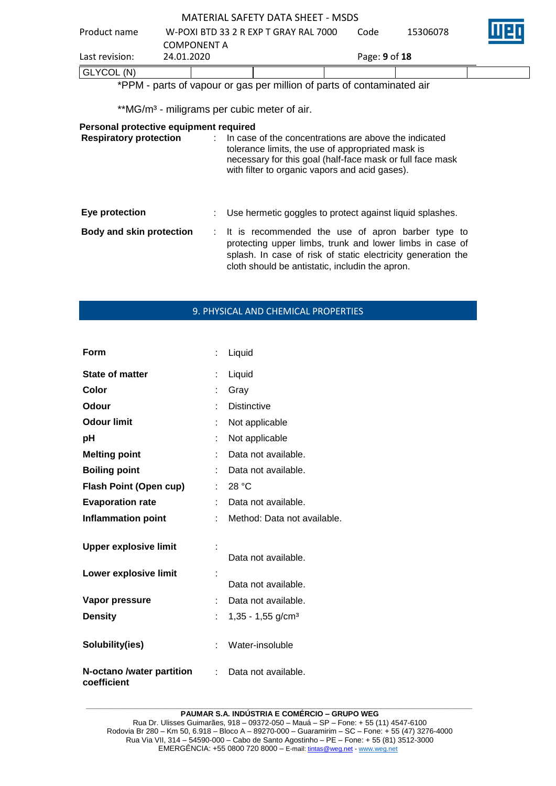| <b>MATERIAL SAFETY DATA SHEET - MSDS</b> |                                       |               |          |        |  |  |  |  |  |  |
|------------------------------------------|---------------------------------------|---------------|----------|--------|--|--|--|--|--|--|
| Product name                             | W-POXI BTD 33 2 R EXP T GRAY RAL 7000 | Code          | 15306078 | in e F |  |  |  |  |  |  |
|                                          | <b>COMPONENT A</b>                    |               |          |        |  |  |  |  |  |  |
| Last revision:                           | 24.01.2020                            | Page: 9 of 18 |          |        |  |  |  |  |  |  |
| GLYCOL (N)                               |                                       |               |          |        |  |  |  |  |  |  |
|                                          | $\ast$                                |               |          |        |  |  |  |  |  |  |

\*PPM - parts of vapour or gas per million of parts of contaminated air

\*\*MG/m<sup>3</sup> - miligrams per cubic meter of air.

### **Personal protective equipment required**

| <b>Respiratory protection</b>   | In case of the concentrations are above the indicated<br>tolerance limits, the use of appropriated mask is<br>necessary for this goal (half-face mask or full face mask<br>with filter to organic vapors and acid gases).          |
|---------------------------------|------------------------------------------------------------------------------------------------------------------------------------------------------------------------------------------------------------------------------------|
| Eye protection                  | : Use hermetic goggles to protect against liquid splashes.                                                                                                                                                                         |
| <b>Body and skin protection</b> | : It is recommended the use of apron barber type to<br>protecting upper limbs, trunk and lower limbs in case of<br>splash. In case of risk of static electricity generation the<br>cloth should be antistatic, includin the apron. |

### 9. PHYSICAL AND CHEMICAL PROPERTIES

| Form                                     |   | Liquid                          |
|------------------------------------------|---|---------------------------------|
| <b>State of matter</b>                   |   | Liquid                          |
| Color                                    |   | Gray                            |
| Odour                                    |   | <b>Distinctive</b>              |
| <b>Odour limit</b>                       |   | Not applicable                  |
| рH                                       |   | Not applicable                  |
| <b>Melting point</b>                     |   | Data not available.             |
| <b>Boiling point</b>                     |   | Data not available.             |
| <b>Flash Point (Open cup)</b>            |   | 28 °C                           |
| <b>Evaporation rate</b>                  |   | Data not available.             |
| <b>Inflammation point</b>                |   | Method: Data not available.     |
| <b>Upper explosive limit</b>             |   | Data not available.             |
| Lower explosive limit                    |   | Data not available.             |
| Vapor pressure                           |   | Data not available.             |
| <b>Density</b>                           |   | $1,35 - 1,55$ g/cm <sup>3</sup> |
| Solubility(ies)                          |   | Water-insoluble                 |
| N-octano /water partition<br>coefficient | ÷ | Data not available.             |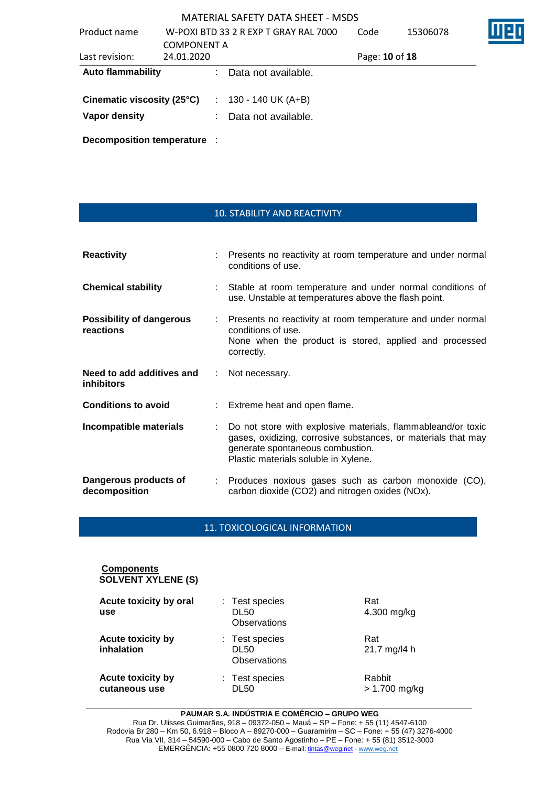| Product name               |                    | W-POXI BTD 33 2 R EXP T GRAY RAL 7000 | Code           | 15306078 |  |
|----------------------------|--------------------|---------------------------------------|----------------|----------|--|
|                            | <b>COMPONENT A</b> |                                       |                |          |  |
| Last revision:             | 24.01.2020         |                                       | Page: 10 of 18 |          |  |
| <b>Auto flammability</b>   |                    | Data not available.                   |                |          |  |
| Cinematic viscosity (25°C) |                    | $: 130 - 140 \text{ UK} (A+B)$        |                |          |  |
| Vapor density              |                    | Data not available.                   |                |          |  |
|                            |                    |                                       |                |          |  |

**Decomposition temperature** :

| <b>10. STABILITY AND REACTIVITY</b> |
|-------------------------------------|
|-------------------------------------|

| <b>Reactivity</b>                              |                  | : Presents no reactivity at room temperature and under normal<br>conditions of use.                                                                                                                       |  |  |  |
|------------------------------------------------|------------------|-----------------------------------------------------------------------------------------------------------------------------------------------------------------------------------------------------------|--|--|--|
| <b>Chemical stability</b>                      |                  | : Stable at room temperature and under normal conditions of<br>use. Unstable at temperatures above the flash point.                                                                                       |  |  |  |
| <b>Possibility of dangerous</b><br>reactions   |                  | : Presents no reactivity at room temperature and under normal<br>conditions of use.<br>None when the product is stored, applied and processed<br>correctly.                                               |  |  |  |
| Need to add additives and<br><i>inhibitors</i> | $\mathbb{Z}^n$ . | Not necessary.                                                                                                                                                                                            |  |  |  |
| <b>Conditions to avoid</b>                     |                  | : Extreme heat and open flame.                                                                                                                                                                            |  |  |  |
| Incompatible materials                         |                  | Do not store with explosive materials, flammableand/or toxic<br>gases, oxidizing, corrosive substances, or materials that may<br>generate spontaneous combustion.<br>Plastic materials soluble in Xylene. |  |  |  |
| Dangerous products of<br>decomposition         |                  | : Produces noxious gases such as carbon monoxide (CO),<br>carbon dioxide (CO2) and nitrogen oxides (NOx).                                                                                                 |  |  |  |

11. TOXICOLOGICAL INFORMATION

| <b>Components</b><br><b>SOLVENT XYLENE (S)</b> |                                               |                         |
|------------------------------------------------|-----------------------------------------------|-------------------------|
| Acute toxicity by oral<br>use                  | : Test species<br>DL50<br>Observations        | Rat<br>4.300 mg/kg      |
| Acute toxicity by<br>inhalation                | : Test species<br><b>DL50</b><br>Observations | Rat<br>21,7 mg/l4 h     |
| <b>Acute toxicity by</b><br>cutaneous use      | : Test species<br>DL50                        | Rabbit<br>> 1.700 mg/kg |

#### **\_\_\_\_\_\_\_\_\_\_\_\_\_\_\_\_\_\_\_\_\_\_\_\_\_\_\_\_\_\_\_\_\_\_\_\_\_\_\_\_\_\_\_\_\_\_\_\_\_\_\_\_\_\_\_\_\_\_\_\_\_\_\_\_\_\_\_\_\_\_\_\_\_\_\_\_\_\_\_\_\_\_\_\_\_\_\_\_\_\_\_\_\_ PAUMAR S.A. INDÚSTRIA E COMÉRCIO – GRUPO WEG**

Rua Dr. Ulisses Guimarães, 918 – 09372-050 – Mauá – SP – Fone: + 55 (11) 4547-6100 Rodovia Br 280 – Km 50, 6.918 – Bloco A – 89270-000 – Guaramirim – SC – Fone: + 55 (47) 3276-4000 Rua Via VII, 314 – 54590-000 – Cabo de Santo Agostinho – PE – Fone: + 55 (81) 3512-3000 EMERGËNCIA: +55 0800 720 8000 – E-mail[: tintas@weg.net](mailto:tintas@weg.net) - [www.weg.net](http://www.weg.net/)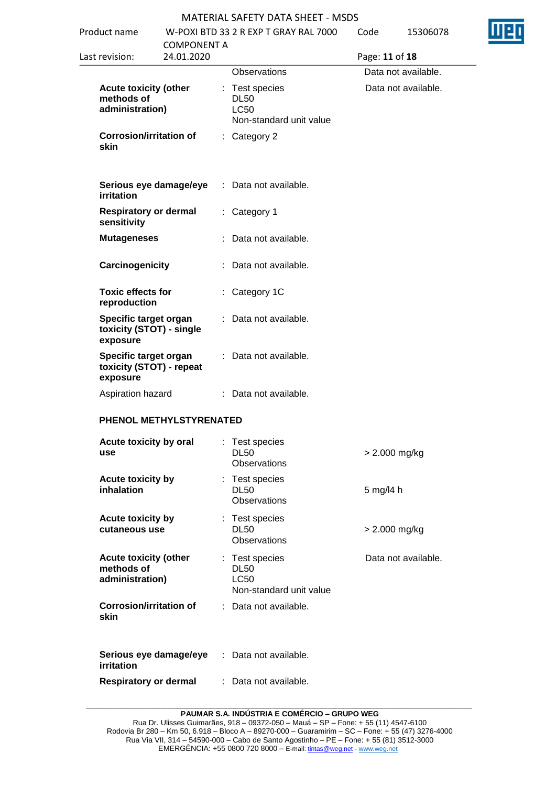| Product name                             |                                                   |                    | W-POXI BTD 33 2 R EXP T GRAY RAL 7000                                   | Code           | 15306078            |
|------------------------------------------|---------------------------------------------------|--------------------|-------------------------------------------------------------------------|----------------|---------------------|
| Last revision:                           | 24.01.2020                                        | <b>COMPONENT A</b> |                                                                         |                |                     |
|                                          |                                                   |                    | Observations                                                            | Page: 11 of 18 | Data not available. |
| methods of<br>administration)            | <b>Acute toxicity (other</b>                      |                    | : Test species<br><b>DL50</b><br><b>LC50</b><br>Non-standard unit value |                | Data not available. |
| skin                                     | <b>Corrosion/irritation of</b>                    |                    | : Category 2                                                            |                |                     |
| irritation                               | Serious eye damage/eye                            |                    | : Data not available.                                                   |                |                     |
| sensitivity                              | <b>Respiratory or dermal</b>                      |                    | : Category 1                                                            |                |                     |
| <b>Mutageneses</b>                       |                                                   |                    | : Data not available.                                                   |                |                     |
| Carcinogenicity                          |                                                   |                    | : Data not available.                                                   |                |                     |
| <b>Toxic effects for</b><br>reproduction |                                                   |                    | : Category 1C                                                           |                |                     |
| exposure                                 | Specific target organ<br>toxicity (STOT) - single |                    | : Data not available.                                                   |                |                     |
| exposure                                 | Specific target organ<br>toxicity (STOT) - repeat |                    | : Data not available.                                                   |                |                     |
|                                          | Aspiration hazard                                 |                    | : Data not available.                                                   |                |                     |
|                                          | PHENOL METHYLSTYRENATED                           |                    |                                                                         |                |                     |
| use                                      | Acute toxicity by oral                            |                    | Test species<br><b>DL50</b><br>Observations                             |                | $> 2.000$ mg/kg     |
| inhalation                               | Acute toxicity by                                 |                    | : Test species<br><b>DL50</b><br><b>Observations</b>                    | 5 mg/l4 h      |                     |
| cutaneous use                            | <b>Acute toxicity by</b>                          |                    | : Test species<br><b>DL50</b><br>Observations                           |                | > 2.000 mg/kg       |
| methods of<br>administration)            | <b>Acute toxicity (other</b>                      |                    | : Test species<br><b>DL50</b><br><b>LC50</b><br>Non-standard unit value |                | Data not available. |
| skin                                     | <b>Corrosion/irritation of</b>                    |                    | : Data not available.                                                   |                |                     |
| irritation                               | Serious eye damage/eye                            |                    | : Data not available.                                                   |                |                     |
|                                          | <b>Respiratory or dermal</b>                      |                    | Data not available.                                                     |                |                     |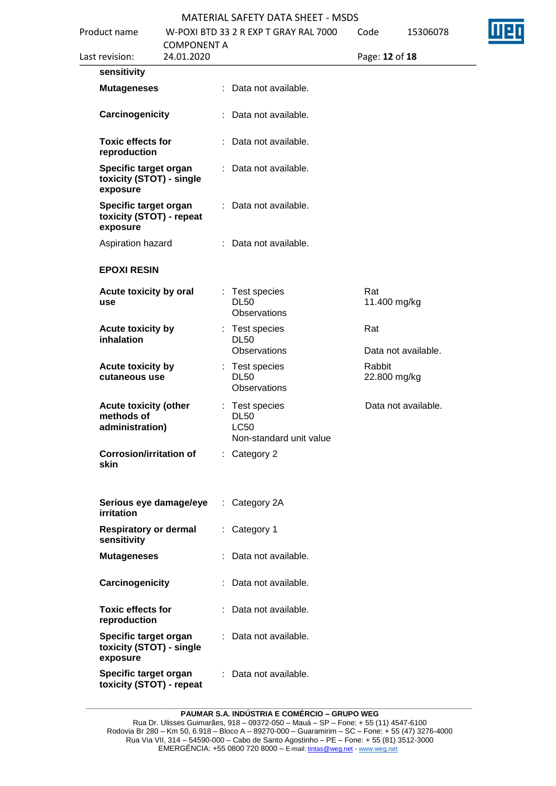| Product name |                                                                                                                                | <b>COMPONENT A</b> | W-POXI BTD 33 2 R EXP T GRAY RAL 7000 |                                                                         |                | 15306078            |  |
|--------------|--------------------------------------------------------------------------------------------------------------------------------|--------------------|---------------------------------------|-------------------------------------------------------------------------|----------------|---------------------|--|
|              | Last revision:                                                                                                                 | 24.01.2020         |                                       |                                                                         | Page: 12 of 18 |                     |  |
|              | sensitivity                                                                                                                    |                    |                                       |                                                                         |                |                     |  |
|              | <b>Mutageneses</b>                                                                                                             |                    |                                       | : Data not available.                                                   |                |                     |  |
|              | Carcinogenicity                                                                                                                |                    | ÷.                                    | Data not available.                                                     |                |                     |  |
|              | <b>Toxic effects for</b><br>reproduction                                                                                       |                    |                                       | : Data not available.                                                   |                |                     |  |
|              | Specific target organ<br>toxicity (STOT) - single<br>exposure<br>Specific target organ<br>toxicity (STOT) - repeat<br>exposure |                    | ÷.                                    | Data not available.                                                     |                |                     |  |
|              |                                                                                                                                |                    | ÷.                                    | Data not available.                                                     |                |                     |  |
|              | Aspiration hazard                                                                                                              |                    |                                       | : Data not available.                                                   |                |                     |  |
|              | <b>EPOXI RESIN</b>                                                                                                             |                    |                                       |                                                                         |                |                     |  |
|              | Acute toxicity by oral<br>use                                                                                                  |                    |                                       | : Test species<br><b>DL50</b><br>Observations                           | Rat            | 11.400 mg/kg        |  |
|              | Acute toxicity by<br>inhalation                                                                                                |                    |                                       | : Test species<br><b>DL50</b><br>Observations                           | Rat            | Data not available. |  |
|              | Acute toxicity by<br>cutaneous use                                                                                             |                    |                                       | : Test species<br><b>DL50</b><br><b>Observations</b>                    | Rabbit         | 22.800 mg/kg        |  |
|              | <b>Acute toxicity (other</b><br>methods of<br>administration)                                                                  |                    |                                       | : Test species<br><b>DL50</b><br><b>LC50</b><br>Non-standard unit value |                | Data not available. |  |
|              | <b>Corrosion/irritation of</b><br>skin                                                                                         |                    | ÷.                                    | Category 2                                                              |                |                     |  |
|              | Serious eye damage/eye<br>irritation                                                                                           |                    | ÷.                                    | Category 2A                                                             |                |                     |  |
|              | <b>Respiratory or dermal</b><br>sensitivity                                                                                    |                    | ÷.                                    | Category 1                                                              |                |                     |  |
|              | <b>Mutageneses</b>                                                                                                             |                    |                                       | Data not available.                                                     |                |                     |  |
|              | Carcinogenicity                                                                                                                |                    | ÷.                                    | Data not available.                                                     |                |                     |  |
|              | <b>Toxic effects for</b><br>reproduction                                                                                       |                    |                                       | : Data not available.                                                   |                |                     |  |
|              | Specific target organ<br>toxicity (STOT) - single<br>exposure                                                                  |                    | ÷.                                    | Data not available.                                                     |                |                     |  |
|              | Specific target organ<br>toxicity (STOT) - repeat                                                                              |                    |                                       | Data not available.                                                     |                |                     |  |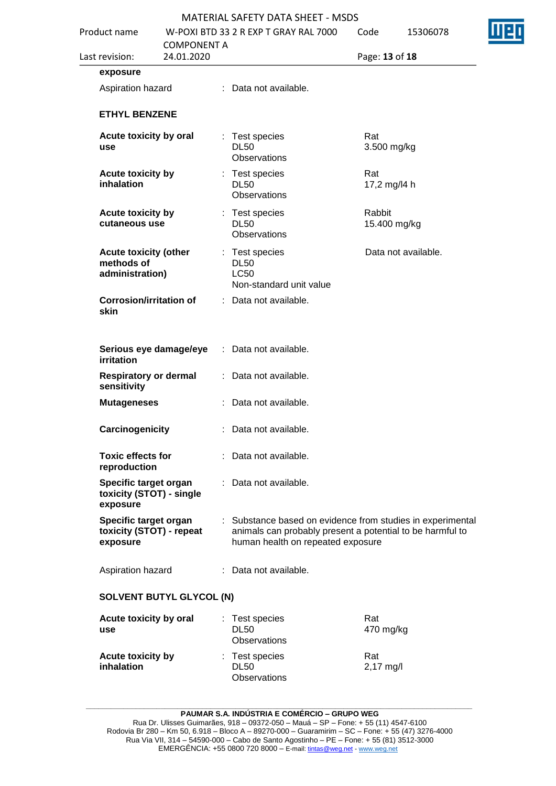| Product name |                                                               | <b>COMPONENT A</b> | W-POXI BTD 33 2 R EXP T GRAY RAL 7000 | Code                                                                    |                                                                                                                         | 15306078               |                     |  |
|--------------|---------------------------------------------------------------|--------------------|---------------------------------------|-------------------------------------------------------------------------|-------------------------------------------------------------------------------------------------------------------------|------------------------|---------------------|--|
|              | Last revision:                                                | 24.01.2020         |                                       |                                                                         |                                                                                                                         | Page: 13 of 18         |                     |  |
|              | exposure                                                      |                    |                                       |                                                                         |                                                                                                                         |                        |                     |  |
|              | Aspiration hazard                                             |                    |                                       | : Data not available.                                                   |                                                                                                                         |                        |                     |  |
|              | <b>ETHYL BENZENE</b>                                          |                    |                                       |                                                                         |                                                                                                                         |                        |                     |  |
|              | Acute toxicity by oral<br>use                                 |                    |                                       | : Test species<br><b>DL50</b><br>Observations                           |                                                                                                                         | Rat<br>3.500 mg/kg     |                     |  |
|              | Acute toxicity by<br>inhalation                               |                    |                                       | : Test species<br><b>DL50</b><br>Observations                           |                                                                                                                         | Rat<br>17,2 mg/l4 h    |                     |  |
|              | Acute toxicity by<br>cutaneous use                            |                    |                                       | : Test species<br><b>DL50</b><br><b>Observations</b>                    |                                                                                                                         | Rabbit<br>15.400 mg/kg |                     |  |
|              | <b>Acute toxicity (other</b><br>methods of<br>administration) |                    |                                       | : Test species<br><b>DL50</b><br><b>LC50</b><br>Non-standard unit value |                                                                                                                         |                        | Data not available. |  |
|              | <b>Corrosion/irritation of</b><br>skin                        |                    |                                       | : Data not available.                                                   |                                                                                                                         |                        |                     |  |
|              | Serious eye damage/eye<br>irritation                          |                    | ÷.                                    | Data not available.                                                     |                                                                                                                         |                        |                     |  |
|              | <b>Respiratory or dermal</b><br>sensitivity                   |                    |                                       | Data not available.                                                     |                                                                                                                         |                        |                     |  |
|              | <b>Mutageneses</b>                                            |                    |                                       | Data not available.                                                     |                                                                                                                         |                        |                     |  |
|              | Carcinogenicity                                               |                    |                                       | : Data not available.                                                   | : Substance based on evidence from studies in experimental<br>animals can probably present a potential to be harmful to |                        |                     |  |
|              | <b>Toxic effects for</b><br>reproduction                      |                    |                                       | : Data not available.                                                   |                                                                                                                         |                        |                     |  |
|              | Specific target organ<br>toxicity (STOT) - single<br>exposure |                    |                                       | : Data not available.                                                   |                                                                                                                         |                        |                     |  |
|              | Specific target organ<br>toxicity (STOT) - repeat<br>exposure |                    |                                       | human health on repeated exposure                                       |                                                                                                                         |                        |                     |  |
|              | Aspiration hazard                                             |                    |                                       | : Data not available.                                                   |                                                                                                                         |                        |                     |  |
|              | <b>SOLVENT BUTYL GLYCOL (N)</b>                               |                    |                                       |                                                                         |                                                                                                                         |                        |                     |  |
|              | Acute toxicity by oral<br>use                                 |                    |                                       | : Test species<br><b>DL50</b><br>Observations                           |                                                                                                                         | Rat<br>470 mg/kg       |                     |  |
|              | Acute toxicity by<br>inhalation                               |                    |                                       | : Test species<br><b>DL50</b><br><b>Observations</b>                    |                                                                                                                         | Rat<br>2,17 mg/l       |                     |  |

**\_\_\_\_\_\_\_\_\_\_\_\_\_\_\_\_\_\_\_\_\_\_\_\_\_\_\_\_\_\_\_\_\_\_\_\_\_\_\_\_\_\_\_\_\_\_\_\_\_\_\_\_\_\_\_\_\_\_\_\_\_\_\_\_\_\_\_\_\_\_\_\_\_\_\_\_\_\_\_\_\_\_\_\_\_\_\_\_\_\_\_\_\_**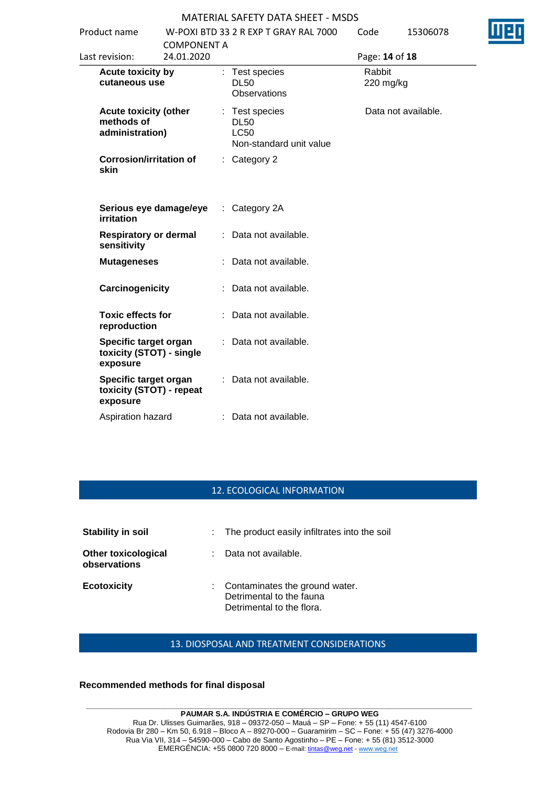| Product name                                                  | <b>COMPONENT A</b> |    | W-POXI BTD 33 2 R EXP T GRAY RAL 7000                                   | Code                | 15306078            |  |
|---------------------------------------------------------------|--------------------|----|-------------------------------------------------------------------------|---------------------|---------------------|--|
| Last revision:                                                | 24.01.2020         |    |                                                                         | Page: 14 of 18      |                     |  |
| Acute toxicity by<br>cutaneous use                            |                    |    | : Test species<br><b>DL50</b><br><b>Observations</b>                    | Rabbit<br>220 mg/kg |                     |  |
| <b>Acute toxicity (other</b><br>methods of<br>administration) |                    |    | : Test species<br><b>DL50</b><br><b>LC50</b><br>Non-standard unit value |                     | Data not available. |  |
| <b>Corrosion/irritation of</b><br>skin                        |                    | ÷. | Category 2                                                              |                     |                     |  |
| Serious eye damage/eye<br>irritation                          |                    |    | $:$ Category 2A                                                         |                     |                     |  |
| <b>Respiratory or dermal</b><br>sensitivity                   |                    |    | Data not available.                                                     |                     |                     |  |
| <b>Mutageneses</b>                                            |                    |    | Data not available.                                                     |                     |                     |  |
| Carcinogenicity                                               |                    |    | Data not available.                                                     |                     |                     |  |
| <b>Toxic effects for</b><br>reproduction                      |                    |    | : Data not available.                                                   |                     |                     |  |
| Specific target organ<br>toxicity (STOT) - single<br>exposure |                    |    | : Data not available.                                                   |                     |                     |  |
| Specific target organ<br>toxicity (STOT) - repeat<br>exposure |                    |    | : Data not available.                                                   |                     |                     |  |
| Aspiration hazard                                             |                    |    | : Data not available.                                                   |                     |                     |  |

### 12. ECOLOGICAL INFORMATION

| Stability in soil                          |    | : The product easily infiltrates into the soil                                          |
|--------------------------------------------|----|-----------------------------------------------------------------------------------------|
| <b>Other toxicological</b><br>observations |    | Data not available.                                                                     |
| <b>Ecotoxicity</b>                         | ÷. | Contaminates the ground water.<br>Detrimental to the fauna<br>Detrimental to the flora. |

### 13. DIOSPOSAL AND TREATMENT CONSIDERATIONS

### **Recommended methods for final disposal**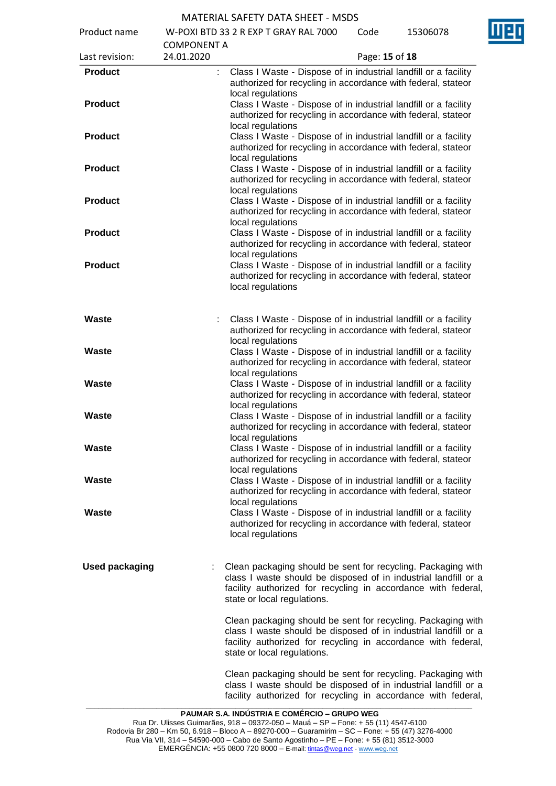Product name W-POXI BTD 33 2 R EXP T GRAY RAL 7000 Code 15306078

| Last revision:                   | <b>COMPONENT A</b><br>24.01.2020 | Page: 15 of 18                                                                                                                                                                                                                  |
|----------------------------------|----------------------------------|---------------------------------------------------------------------------------------------------------------------------------------------------------------------------------------------------------------------------------|
| <b>Product</b>                   | ÷                                | Class I Waste - Dispose of in industrial landfill or a facility<br>authorized for recycling in accordance with federal, stateor<br>local regulations                                                                            |
| <b>Product</b>                   |                                  | Class I Waste - Dispose of in industrial landfill or a facility<br>authorized for recycling in accordance with federal, stateor<br>local regulations                                                                            |
| <b>Product</b>                   |                                  | Class I Waste - Dispose of in industrial landfill or a facility<br>authorized for recycling in accordance with federal, stateor<br>local regulations                                                                            |
| <b>Product</b>                   |                                  | Class I Waste - Dispose of in industrial landfill or a facility<br>authorized for recycling in accordance with federal, stateor<br>local regulations                                                                            |
| <b>Product</b><br><b>Product</b> |                                  | Class I Waste - Dispose of in industrial landfill or a facility<br>authorized for recycling in accordance with federal, stateor<br>local regulations<br>Class I Waste - Dispose of in industrial landfill or a facility         |
| <b>Product</b>                   |                                  | authorized for recycling in accordance with federal, stateor<br>local regulations<br>Class I Waste - Dispose of in industrial landfill or a facility                                                                            |
|                                  |                                  | authorized for recycling in accordance with federal, stateor<br>local regulations                                                                                                                                               |
| Waste                            |                                  | Class I Waste - Dispose of in industrial landfill or a facility<br>authorized for recycling in accordance with federal, stateor<br>local regulations                                                                            |
| Waste                            |                                  | Class I Waste - Dispose of in industrial landfill or a facility<br>authorized for recycling in accordance with federal, stateor<br>local regulations                                                                            |
| Waste<br>Waste                   |                                  | Class I Waste - Dispose of in industrial landfill or a facility<br>authorized for recycling in accordance with federal, stateor<br>local regulations<br>Class I Waste - Dispose of in industrial landfill or a facility         |
| Waste                            |                                  | authorized for recycling in accordance with federal, stateor<br>local regulations<br>Class I Waste - Dispose of in industrial landfill or a facility                                                                            |
| Waste                            |                                  | authorized for recycling in accordance with federal, stateor<br>local regulations<br>Class I Waste - Dispose of in industrial landfill or a facility                                                                            |
| Waste                            |                                  | authorized for recycling in accordance with federal, stateor<br>local regulations<br>Class I Waste - Dispose of in industrial landfill or a facility                                                                            |
|                                  |                                  | authorized for recycling in accordance with federal, stateor<br>local regulations                                                                                                                                               |
| <b>Used packaging</b>            |                                  | Clean packaging should be sent for recycling. Packaging with<br>class I waste should be disposed of in industrial landfill or a<br>facility authorized for recycling in accordance with federal,<br>state or local regulations. |
|                                  |                                  | Clean packaging should be sent for recycling. Packaging with<br>class I waste should be disposed of in industrial landfill or a<br>facility authorized for recycling in accordance with federal,<br>state or local regulations. |
|                                  |                                  | Clean packaging should be sent for recycling. Packaging with<br>class I waste should be disposed of in industrial landfill or a<br>facility authorized for recycling in accordance with federal,                                |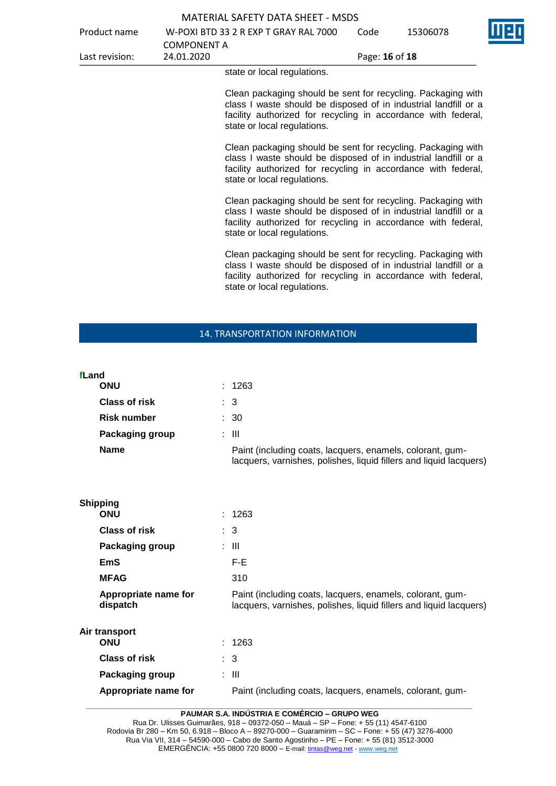|                | وممناوا برومير اووما يرم ولولو        |                |          |  |
|----------------|---------------------------------------|----------------|----------|--|
| Last revision: | 24.01.2020                            | Page: 16 of 18 |          |  |
|                | COMPONENT A                           |                |          |  |
| Product name   | W-POXI BTD 33 2 R EXP T GRAY RAL 7000 | Code           | 15306078 |  |
|                | MATERIAL SAFETY DATA SHEET - MSDS     |                |          |  |

state or local regulations.

Clean packaging should be sent for recycling. Packaging with class I waste should be disposed of in industrial landfill or a facility authorized for recycling in accordance with federal, state or local regulations.

Clean packaging should be sent for recycling. Packaging with class I waste should be disposed of in industrial landfill or a facility authorized for recycling in accordance with federal, state or local regulations.

Clean packaging should be sent for recycling. Packaging with class I waste should be disposed of in industrial landfill or a facility authorized for recycling in accordance with federal, state or local regulations.

Clean packaging should be sent for recycling. Packaging with class I waste should be disposed of in industrial landfill or a facility authorized for recycling in accordance with federal, state or local regulations.

### 14. TRANSPORTATION INFORMATION

| fLand |                                  |                                                                                                                                 |
|-------|----------------------------------|---------------------------------------------------------------------------------------------------------------------------------|
|       | <b>ONU</b>                       | : 1263                                                                                                                          |
|       | <b>Class of risk</b>             | $\therefore$ 3                                                                                                                  |
|       | <b>Risk number</b>               | $\therefore$ 30                                                                                                                 |
|       | Packaging group                  | $\therefore$ III                                                                                                                |
|       | <b>Name</b>                      | Paint (including coats, lacquers, enamels, colorant, gum-<br>lacquers, varnishes, polishes, liquid fillers and liquid lacquers) |
|       | <b>Shipping</b><br><b>ONU</b>    | : 1263                                                                                                                          |
|       | Class of risk                    | : 3                                                                                                                             |
|       | Packaging group                  | : III                                                                                                                           |
|       | <b>EmS</b>                       | F-E                                                                                                                             |
|       | <b>MFAG</b>                      | 310                                                                                                                             |
|       | Appropriate name for<br>dispatch | Paint (including coats, lacquers, enamels, colorant, gum-<br>lacquers, varnishes, polishes, liquid fillers and liquid lacquers) |
|       | Air transport<br><b>ONU</b>      | : 1263                                                                                                                          |
|       | <b>Class of risk</b>             | $\therefore$ 3                                                                                                                  |
|       | Packaging group                  | : III                                                                                                                           |
|       | Appropriate name for             | Paint (including coats, lacquers, enamels, colorant, gum-                                                                       |

**\_\_\_\_\_\_\_\_\_\_\_\_\_\_\_\_\_\_\_\_\_\_\_\_\_\_\_\_\_\_\_\_\_\_\_\_\_\_\_\_\_\_\_\_\_\_\_\_\_\_\_\_\_\_\_\_\_\_\_\_\_\_\_\_\_\_\_\_\_\_\_\_\_\_\_\_\_\_\_\_\_\_\_\_\_\_\_\_\_\_\_\_\_ PAUMAR S.A. INDÚSTRIA E COMÉRCIO – GRUPO WEG**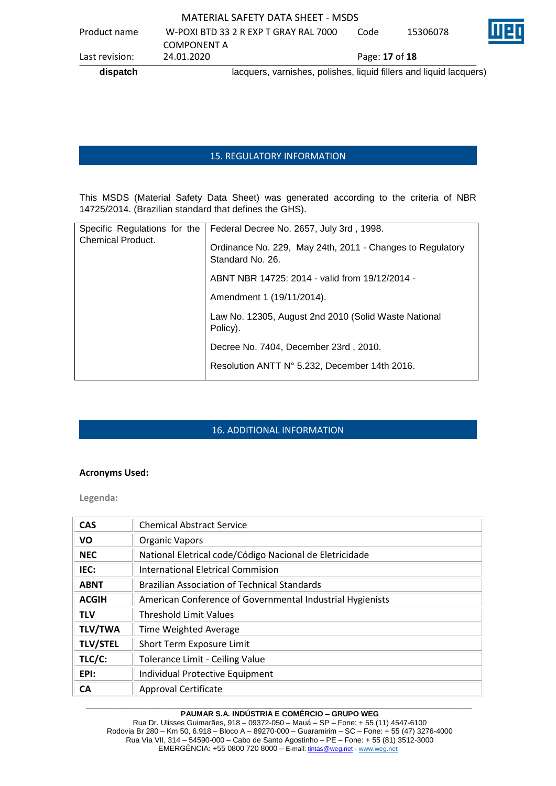|                |             | MATERIAL SAFETY DATA SHEET - MSDS                                  |                |          |   |
|----------------|-------------|--------------------------------------------------------------------|----------------|----------|---|
| Product name   |             | W-POXI BTD 33 2 R EXP T GRAY RAL 7000                              | Code           | 15306078 | Ш |
|                | COMPONENT A |                                                                    |                |          |   |
| Last revision: | 24.01.2020  |                                                                    | Page: 17 of 18 |          |   |
| dispatch       |             | lacquers, varnishes, polishes, liquid fillers and liquid lacquers) |                |          |   |

### 15. REGULATORY INFORMATION

This MSDS (Material Safety Data Sheet) was generated according to the criteria of NBR 14725/2014. (Brazilian standard that defines the GHS).

| Specific Regulations for the | Federal Decree No. 2657, July 3rd, 1998.                                      |
|------------------------------|-------------------------------------------------------------------------------|
| Chemical Product.            | Ordinance No. 229, May 24th, 2011 - Changes to Regulatory<br>Standard No. 26. |
|                              | ABNT NBR 14725: 2014 - valid from 19/12/2014 -                                |
|                              | Amendment 1 (19/11/2014).                                                     |
|                              | Law No. 12305, August 2nd 2010 (Solid Waste National<br>Policy).              |
|                              | Decree No. 7404, December 23rd, 2010.                                         |
|                              | Resolution ANTT N° 5.232, December 14th 2016.                                 |

### 16. ADDITIONAL INFORMATION

### **Acronyms Used:**

**Legenda:**

| <b>CAS</b>      | <b>Chemical Abstract Service</b>                          |
|-----------------|-----------------------------------------------------------|
| <b>VO</b>       | <b>Organic Vapors</b>                                     |
| <b>NEC</b>      | National Eletrical code/Código Nacional de Eletricidade   |
| IEC:            | International Eletrical Commision                         |
| <b>ABNT</b>     | <b>Brazilian Association of Technical Standards</b>       |
| <b>ACGIH</b>    | American Conference of Governmental Industrial Hygienists |
| <b>TLV</b>      | <b>Threshold Limit Values</b>                             |
| <b>TLV/TWA</b>  | Time Weighted Average                                     |
| <b>TLV/STEL</b> | Short Term Exposure Limit                                 |
| TLC/C:          | <b>Tolerance Limit - Ceiling Value</b>                    |
| EPI:            | Individual Protective Equipment                           |
| CА              | Approval Certificate                                      |

#### **\_\_\_\_\_\_\_\_\_\_\_\_\_\_\_\_\_\_\_\_\_\_\_\_\_\_\_\_\_\_\_\_\_\_\_\_\_\_\_\_\_\_\_\_\_\_\_\_\_\_\_\_\_\_\_\_\_\_\_\_\_\_\_\_\_\_\_\_\_\_\_\_\_\_\_\_\_\_\_\_\_\_\_\_\_\_\_\_\_\_\_\_\_ PAUMAR S.A. INDÚSTRIA E COMÉRCIO – GRUPO WEG**

Rua Dr. Ulisses Guimarães, 918 – 09372-050 – Mauá – SP – Fone: + 55 (11) 4547-6100 Rodovia Br 280 – Km 50, 6.918 – Bloco A – 89270-000 – Guaramirim – SC – Fone: + 55 (47) 3276-4000 Rua Via VII, 314 – 54590-000 – Cabo de Santo Agostinho – PE – Fone: + 55 (81) 3512-3000 EMERGËNCIA: +55 0800 720 8000 – E-mail[: tintas@weg.net](mailto:tintas@weg.net) - [www.weg.net](http://www.weg.net/)